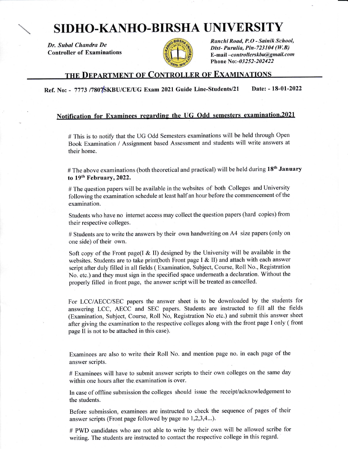## SIDHO-KANHO-BTRSHA UNIVERSITY

Dr. Subul Chandru De Controller of Examinations



Ranchi Road, P.O - Sainik School, Dist- Purulia, Pin-723104 (W.B) E-mail -controllerskbu@gmail.com Phone No:-03252-202422

## THE DEPARTMENT OF CONTROLLER OF EXAMINATIONS

Ref. No: - 7773 /7807 SKBU/CE/UG Exam 2021 Guide Line-Students/21 Date: - 18-01-2022

## Notification for Examinees regarding the UG Odd semesters examination.2021

# This is to notify that the UG Odd Semesters examinations will be held through Open Book Examination / Assignment based Assessment and students will write answers at their home.

# The above examinations (both theoretical and practical) will be held during 18<sup>th</sup> January to 19<sup>th</sup> February, 2022.

# The question papers will be available in the websites of both Colleges and University following the examination schedule at least half an hour before the commencement of the examination.

Students who have no internet access may collect the question papers (hard copies) from their respective colleges.

# Students are to write the answers by their own handwriting on A4 size papers (only on one side) of their own.

Soft copy of the Front page( $\alpha$  II) designed by the University will be available in the websites. Students are to take print(both Front page I & II) and attach with each answer script after duly filled in all fields ( Examination, Subject, Course, Roll No., Registration No. etc.) and they must sign in the specified space undemeath a declaration. Without the properly filled in front page, the answer script will be treated as cancelled.

For LCCIAECC/SEC papers the answer sheet is to be downloaded by the students for answering LCC, AECC and SEC papers. Students are instructed to fill all the fields (Examination, Subject, Course, Roll No, Registration No etc.) and submit this answer sheet after giving the examination to the respective colleges along with the front page I only ( front page II is not to be attached in this case).

Examinees are also to write their Roll No. and mention page no. in each page of the answer scripts.

# Examinees will have to submit answer scripts to their own colleges on the same day within one hours after the.examination is over.

In case of offline submission the colleges should issue the receipt/acknowledgement to the students.

Before submission, examinees are instructed to check the sequence of pages of their answer scripts (Front page followed by page no 1,2,3,4...).

# PWD candidates who are not able to write by their own will be allowed scribe for writing. The students are instructed to contact the respective college in this regard.